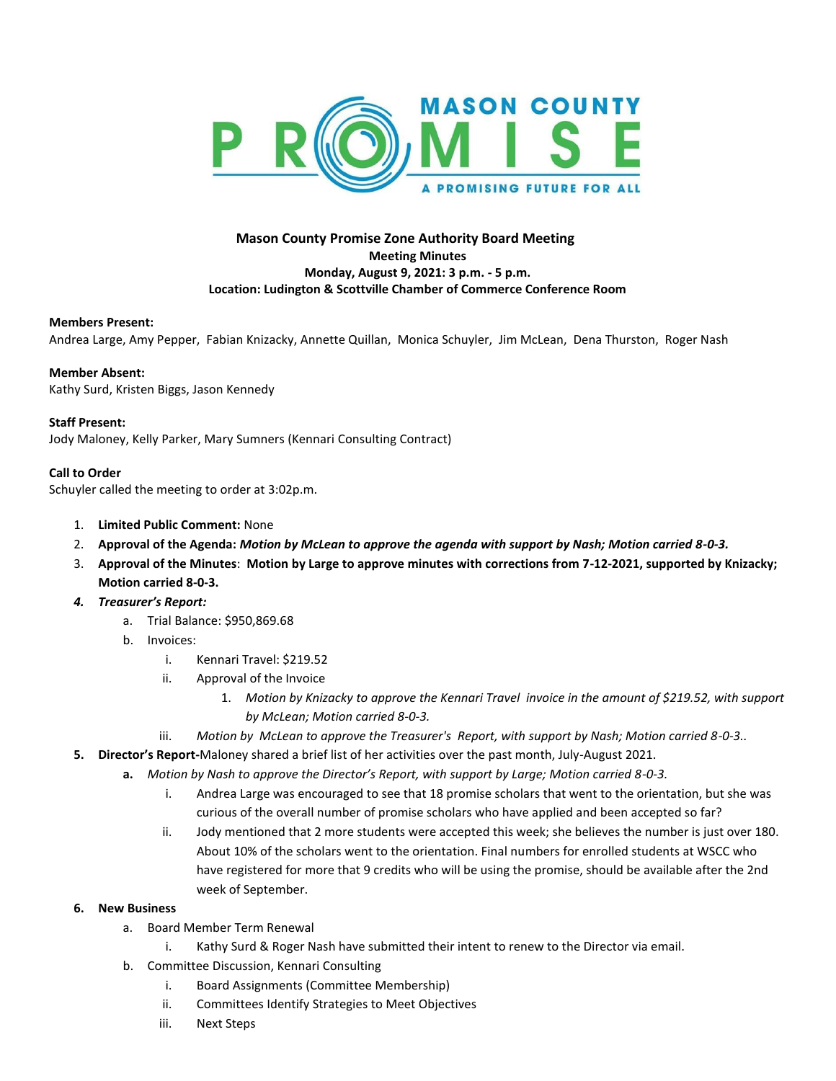

# **Mason County Promise Zone Authority Board Meeting Meeting Minutes Monday, August 9, 2021: 3 p.m. - 5 p.m. Location: Ludington & Scottville Chamber of Commerce Conference Room**

## **Members Present:**

Andrea Large, Amy Pepper, Fabian Knizacky, Annette Quillan, Monica Schuyler, Jim McLean, Dena Thurston, Roger Nash

## **Member Absent:**

Kathy Surd, Kristen Biggs, Jason Kennedy

## **Staff Present:**

Jody Maloney, Kelly Parker, Mary Sumners (Kennari Consulting Contract)

## **Call to Order**

Schuyler called the meeting to order at 3:02p.m.

- 1. **Limited Public Comment:** None
- 2. **Approval of the Agenda:** *Motion by McLean to approve the agenda with support by Nash; Motion carried 8-0-3.*
- 3. **Approval of the Minutes**: **Motion by Large to approve minutes with corrections from 7-12-2021, supported by Knizacky; Motion carried 8-0-3.**
- *4. Treasurer's Report:* 
	- a. Trial Balance: \$950,869.68
	- b. Invoices:
		- i. Kennari Travel: \$219.52
		- ii. Approval of the Invoice
			- 1. *Motion by Knizacky to approve the Kennari Travel invoice in the amount of \$219.52, with support by McLean; Motion carried 8-0-3.*
		- iii. *Motion by McLean to approve the Treasurer's Report, with support by Nash; Motion carried 8-0-3..*
- **5. Director's Report-**Maloney shared a brief list of her activities over the past month, July-August 2021.
	- **a.** *Motion by Nash to approve the Director's Report, with support by Large; Motion carried 8-0-3.* 
		- i. Andrea Large was encouraged to see that 18 promise scholars that went to the orientation, but she was curious of the overall number of promise scholars who have applied and been accepted so far?
		- ii. Jody mentioned that 2 more students were accepted this week; she believes the number is just over 180. About 10% of the scholars went to the orientation. Final numbers for enrolled students at WSCC who have registered for more that 9 credits who will be using the promise, should be available after the 2nd week of September.
- **6. New Business**
	- a. Board Member Term Renewal
		- i. Kathy Surd & Roger Nash have submitted their intent to renew to the Director via email.
	- b. Committee Discussion, Kennari Consulting
		- i. Board Assignments (Committee Membership)
		- ii. Committees Identify Strategies to Meet Objectives
		- iii. Next Steps